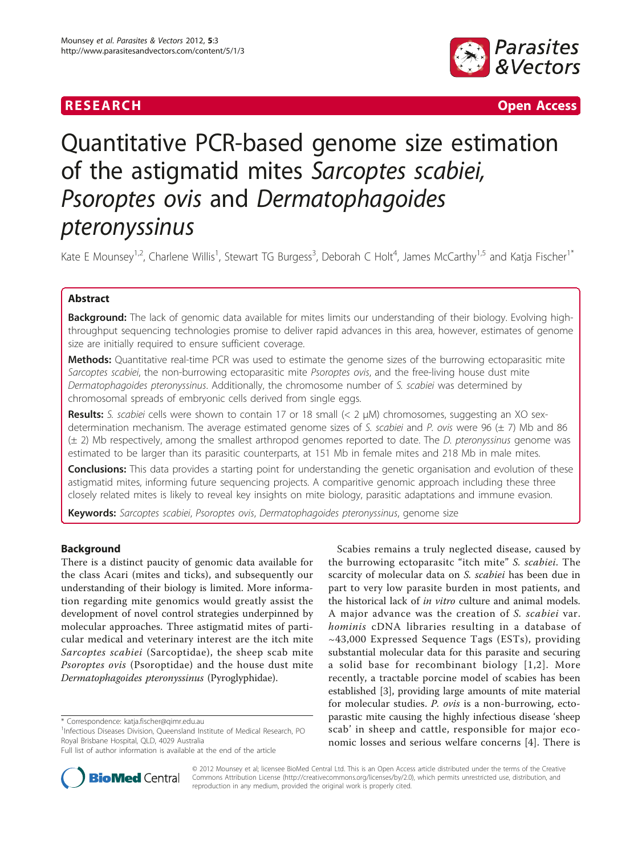

**RESEARCH Open Access** 

# Quantitative PCR-based genome size estimation of the astigmatid mites Sarcoptes scabiei, Psoroptes ovis and Dermatophagoides pteronyssinus

Kate E Mounsey<sup>1,2</sup>, Charlene Willis<sup>1</sup>, Stewart TG Burgess<sup>3</sup>, Deborah C Holt<sup>4</sup>, James McCarthy<sup>1,5</sup> and Katja Fischer<sup>1\*</sup>

# Abstract

Background: The lack of genomic data available for mites limits our understanding of their biology. Evolving highthroughput sequencing technologies promise to deliver rapid advances in this area, however, estimates of genome size are initially required to ensure sufficient coverage.

Methods: Quantitative real-time PCR was used to estimate the genome sizes of the burrowing ectoparasitic mite Sarcoptes scabiei, the non-burrowing ectoparasitic mite Psoroptes ovis, and the free-living house dust mite Dermatophagoides pteronyssinus. Additionally, the chromosome number of S. scabiei was determined by chromosomal spreads of embryonic cells derived from single eggs.

**Results:** S. scabiei cells were shown to contain 17 or 18 small  $(< 2 \mu M)$  chromosomes, suggesting an XO sexdetermination mechanism. The average estimated genome sizes of S, scabiei and P, ovis were 96 ( $\pm$  7) Mb and 86 (± 2) Mb respectively, among the smallest arthropod genomes reported to date. The D. pteronyssinus genome was estimated to be larger than its parasitic counterparts, at 151 Mb in female mites and 218 Mb in male mites.

**Conclusions:** This data provides a starting point for understanding the genetic organisation and evolution of these astigmatid mites, informing future sequencing projects. A comparitive genomic approach including these three closely related mites is likely to reveal key insights on mite biology, parasitic adaptations and immune evasion.

Keywords: Sarcoptes scabiei, Psoroptes ovis, Dermatophagoides pteronyssinus, genome size

# Background

There is a distinct paucity of genomic data available for the class Acari (mites and ticks), and subsequently our understanding of their biology is limited. More information regarding mite genomics would greatly assist the development of novel control strategies underpinned by molecular approaches. Three astigmatid mites of particular medical and veterinary interest are the itch mite Sarcoptes scabiei (Sarcoptidae), the sheep scab mite Psoroptes ovis (Psoroptidae) and the house dust mite Dermatophagoides pteronyssinus (Pyroglyphidae).

\* Correspondence: [katja.fischer@qimr.edu.au](mailto:katja.fischer@qimr.edu.au)

<sup>1</sup>Infectious Diseases Division, Queensland Institute of Medical Research, PO Royal Brisbane Hospital, QLD, 4029 Australia

Full list of author information is available at the end of the article





© 2012 Mounsey et al; licensee BioMed Central Ltd. This is an Open Access article distributed under the terms of the Creative Commons Attribution License [\(http://creativecommons.org/licenses/by/2.0](http://creativecommons.org/licenses/by/2.0)), which permits unrestricted use, distribution, and reproduction in any medium, provided the original work is properly cited.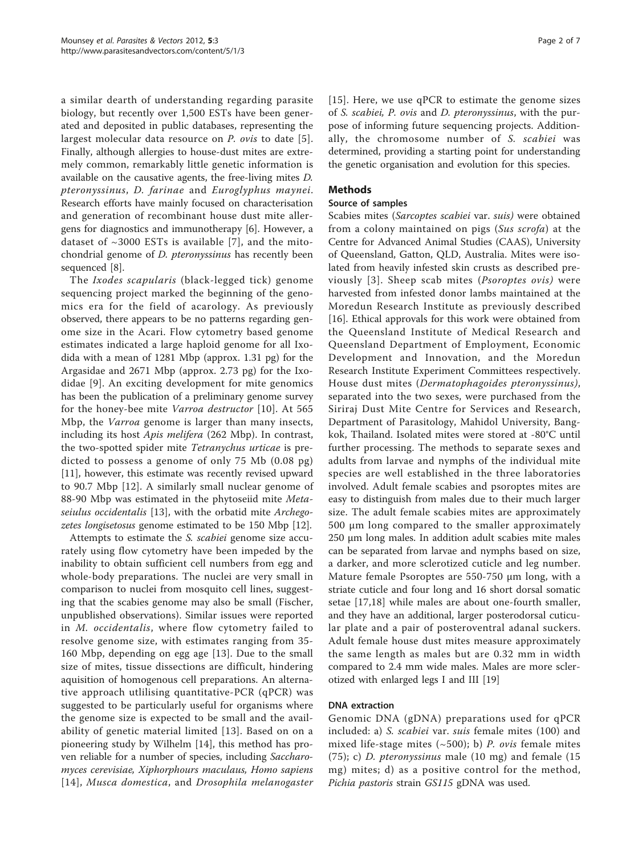a similar dearth of understanding regarding parasite biology, but recently over 1,500 ESTs have been generated and deposited in public databases, representing the largest molecular data resource on *P. ovis* to date [[5\]](#page-5-0). Finally, although allergies to house-dust mites are extremely common, remarkably little genetic information is available on the causative agents, the free-living mites D. pteronyssinus, D. farinae and Euroglyphus maynei. Research efforts have mainly focused on characterisation and generation of recombinant house dust mite allergens for diagnostics and immunotherapy [[6\]](#page-5-0). However, a dataset of  $\sim$ 3000 ESTs is available [[7](#page-5-0)], and the mitochondrial genome of D. pteronyssinus has recently been sequenced [\[8](#page-5-0)].

The Ixodes scapularis (black-legged tick) genome sequencing project marked the beginning of the genomics era for the field of acarology. As previously observed, there appears to be no patterns regarding genome size in the Acari. Flow cytometry based genome estimates indicated a large haploid genome for all Ixodida with a mean of 1281 Mbp (approx. 1.31 pg) for the Argasidae and 2671 Mbp (approx. 2.73 pg) for the Ixodidae [\[9](#page-5-0)]. An exciting development for mite genomics has been the publication of a preliminary genome survey for the honey-bee mite Varroa destructor [[10](#page-5-0)]. At 565 Mbp, the Varroa genome is larger than many insects, including its host Apis melifera (262 Mbp). In contrast, the two-spotted spider mite Tetranychus urticae is predicted to possess a genome of only 75 Mb (0.08 pg) [[11\]](#page-5-0), however, this estimate was recently revised upward to 90.7 Mbp [\[12](#page-5-0)]. A similarly small nuclear genome of 88-90 Mbp was estimated in the phytoseiid mite Meta-seiulus occidentalis [[13\]](#page-5-0), with the orbatid mite Archegozetes longisetosus genome estimated to be 150 Mbp [\[12](#page-5-0)].

Attempts to estimate the S. scabiei genome size accurately using flow cytometry have been impeded by the inability to obtain sufficient cell numbers from egg and whole-body preparations. The nuclei are very small in comparison to nuclei from mosquito cell lines, suggesting that the scabies genome may also be small (Fischer, unpublished observations). Similar issues were reported in M. occidentalis, where flow cytometry failed to resolve genome size, with estimates ranging from 35- 160 Mbp, depending on egg age [\[13](#page-5-0)]. Due to the small size of mites, tissue dissections are difficult, hindering aquisition of homogenous cell preparations. An alternative approach utlilising quantitative-PCR (qPCR) was suggested to be particularly useful for organisms where the genome size is expected to be small and the availability of genetic material limited [[13](#page-5-0)]. Based on on a pioneering study by Wilhelm [\[14](#page-5-0)], this method has proven reliable for a number of species, including Saccharomyces cerevisiae, Xiphorphours maculaus, Homo sapiens [[14\]](#page-5-0), Musca domestica, and Drosophila melanogaster [[15](#page-5-0)]. Here, we use qPCR to estimate the genome sizes of S. scabiei, P. ovis and D. pteronyssinus, with the purpose of informing future sequencing projects. Additionally, the chromosome number of S. scabiei was determined, providing a starting point for understanding the genetic organisation and evolution for this species.

# Methods

# Source of samples

Scabies mites (Sarcoptes scabiei var. suis) were obtained from a colony maintained on pigs (Sus scrofa) at the Centre for Advanced Animal Studies (CAAS), University of Queensland, Gatton, QLD, Australia. Mites were isolated from heavily infested skin crusts as described previously [[3](#page-5-0)]. Sheep scab mites (Psoroptes ovis) were harvested from infested donor lambs maintained at the Moredun Research Institute as previously described [[16\]](#page-5-0). Ethical approvals for this work were obtained from the Queensland Institute of Medical Research and Queensland Department of Employment, Economic Development and Innovation, and the Moredun Research Institute Experiment Committees respectively. House dust mites (Dermatophagoides pteronyssinus), separated into the two sexes, were purchased from the Siriraj Dust Mite Centre for Services and Research, Department of Parasitology, Mahidol University, Bangkok, Thailand. Isolated mites were stored at -80°C until further processing. The methods to separate sexes and adults from larvae and nymphs of the individual mite species are well established in the three laboratories involved. Adult female scabies and psoroptes mites are easy to distinguish from males due to their much larger size. The adult female scabies mites are approximately 500 μm long compared to the smaller approximately 250 μm long males. In addition adult scabies mite males can be separated from larvae and nymphs based on size, a darker, and more sclerotized cuticle and leg number. Mature female Psoroptes are 550-750 μm long, with a striate cuticle and four long and 16 short dorsal somatic setae [\[17,18\]](#page-5-0) while males are about one-fourth smaller, and they have an additional, larger posterodorsal cuticular plate and a pair of posteroventral adanal suckers. Adult female house dust mites measure approximately the same length as males but are 0.32 mm in width compared to 2.4 mm wide males. Males are more sclerotized with enlarged legs I and III [[19\]](#page-5-0)

# DNA extraction

Genomic DNA (gDNA) preparations used for qPCR included: a) S. scabiei var. suis female mites (100) and mixed life-stage mites  $(\sim 500)$ ; b) P. ovis female mites (75); c) D. pteronyssinus male (10 mg) and female (15 mg) mites; d) as a positive control for the method, Pichia pastoris strain GS115 gDNA was used.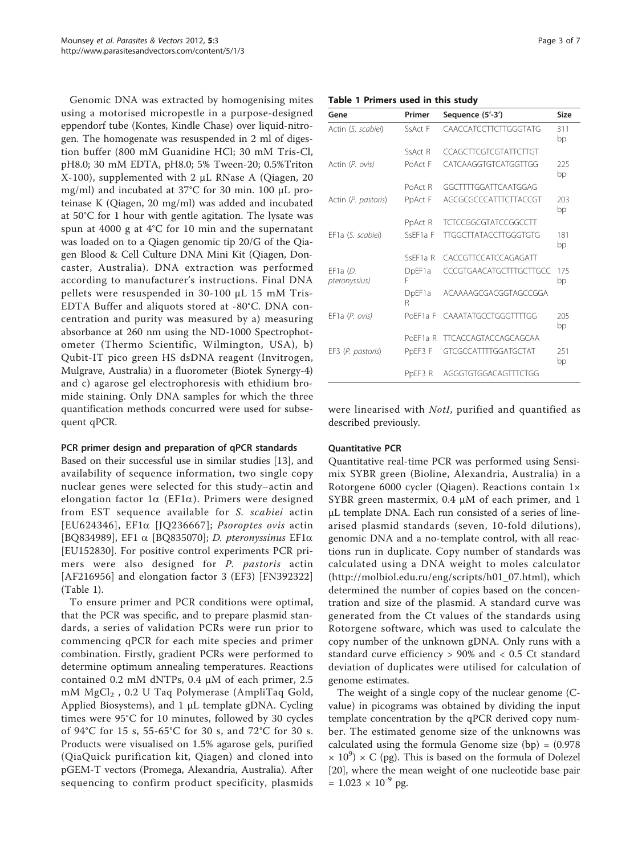Genomic DNA was extracted by homogenising mites using a motorised micropestle in a purpose-designed eppendorf tube (Kontes, Kindle Chase) over liquid-nitrogen. The homogenate was resuspended in 2 ml of digestion buffer (800 mM Guanidine HCl; 30 mM Tris-Cl, pH8.0; 30 mM EDTA, pH8.0; 5% Tween-20; 0.5%Triton X-100), supplemented with 2 μL RNase A (Qiagen, 20 mg/ml) and incubated at 37°C for 30 min. 100 μL proteinase K (Qiagen, 20 mg/ml) was added and incubated at 50°C for 1 hour with gentle agitation. The lysate was spun at 4000 g at 4°C for 10 min and the supernatant was loaded on to a Qiagen genomic tip 20/G of the Qiagen Blood & Cell Culture DNA Mini Kit (Qiagen, Doncaster, Australia). DNA extraction was performed according to manufacturer's instructions. Final DNA pellets were resuspended in 30-100 μL 15 mM Tris-EDTA Buffer and aliquots stored at -80°C. DNA concentration and purity was measured by a) measuring absorbance at 260 nm using the ND-1000 Spectrophotometer (Thermo Scientific, Wilmington, USA), b) Qubit-IT pico green HS dsDNA reagent (Invitrogen, Mulgrave, Australia) in a fluorometer (Biotek Synergy-4) and c) agarose gel electrophoresis with ethidium bromide staining. Only DNA samples for which the three quantification methods concurred were used for subsequent qPCR.

# PCR primer design and preparation of qPCR standards

Based on their successful use in similar studies [\[13\]](#page-5-0), and availability of sequence information, two single copy nuclear genes were selected for this study–actin and elongation factor  $1\alpha$  (EF1 $\alpha$ ). Primers were designed from EST sequence available for S. scabiei actin [EU624346], EF1a [JQ236667]; Psoroptes ovis actin [BQ834989], EF1 a [BQ835070]; D. pteronyssinus EF1a [EU152830]. For positive control experiments PCR primers were also designed for P. pastoris actin [AF216956] and elongation factor 3 (EF3) [FN392322] (Table 1).

To ensure primer and PCR conditions were optimal, that the PCR was specific, and to prepare plasmid standards, a series of validation PCRs were run prior to commencing qPCR for each mite species and primer combination. Firstly, gradient PCRs were performed to determine optimum annealing temperatures. Reactions contained 0.2 mM dNTPs, 0.4 μM of each primer, 2.5 mM MgCl<sub>2</sub>, 0.2 U Taq Polymerase (AmpliTaq Gold, Applied Biosystems), and 1 μL template gDNA. Cycling times were 95°C for 10 minutes, followed by 30 cycles of 94°C for 15 s, 55-65°C for 30 s, and 72°C for 30 s. Products were visualised on 1.5% agarose gels, purified (QiaQuick purification kit, Qiagen) and cloned into pGEM-T vectors (Promega, Alexandria, Australia). After sequencing to confirm product specificity, plasmids

#### Table 1 Primers used in this study

| Gene                        | Primer               | Sequence (5'-3')             | Size      |
|-----------------------------|----------------------|------------------------------|-----------|
| Actin (S. scabiei)          | SsAct F              | CAACCATCCTTCTTGGGTATG        | 311<br>bp |
|                             | SsAct R              | CCAGCTTCGTCGTATTCTTGT        |           |
| Actin (P. ovis)             | PoAct F              | CATCAAGGTGTCATGGTTGG         | 225<br>bp |
|                             | PoAct R              | GGCTTTTGGATTCAATGGAG         |           |
| Actin (P. pastoris)         | PpAct F              | AGCGCGCCCATTTCTTACCGT        | 203<br>bp |
|                             | PpAct R              | <b>TCTCCGGCGTATCCGGCCTT</b>  |           |
| EF1a (S. scabiei)           | SsFF1a F             | <b>TTGGCTTATACCTTGGGTGTG</b> | 181<br>bp |
|                             | SsFF <sub>1a</sub> R | CACCGTTCCATCCAGAGATT         |           |
| EF1a $(D.$<br>pteronyssius) | DpEF1a<br>F          | CCCGTGAACATGCTTTGCTTGCC      | 175<br>bp |
|                             | DpEF1a<br>R          | ACAAAAGCGACGGTAGCCGGA        |           |
| EF1a(P. ovis)               | PoFF1a F             | CAAATATGCCTGGGTTTTGG         | 205<br>bp |
|                             | PoFF1a R             | <b>TTCACCAGTACCAGCAGCAA</b>  |           |
| EF3 (P. pastoris)           | PpEF3 F              | GTCGCCATTTTGGATGCTAT         | 251<br>bp |
|                             | PpEF3 R              | AGGGTGTGGACAGTTTCTGG         |           |

were linearised with NotI, purified and quantified as described previously.

#### Quantitative PCR

Quantitative real-time PCR was performed using Sensimix SYBR green (Bioline, Alexandria, Australia) in a Rotorgene 6000 cycler (Qiagen). Reactions contain 1× SYBR green mastermix, 0.4 μM of each primer, and 1 μL template DNA. Each run consisted of a series of linearised plasmid standards (seven, 10-fold dilutions), genomic DNA and a no-template control, with all reactions run in duplicate. Copy number of standards was calculated using a DNA weight to moles calculator ([http://molbiol.edu.ru/eng/scripts/h01\\_07.html](http://molbiol.edu.ru/eng/scripts/h01_07.html)), which determined the number of copies based on the concentration and size of the plasmid. A standard curve was generated from the Ct values of the standards using Rotorgene software, which was used to calculate the copy number of the unknown gDNA. Only runs with a standard curve efficiency > 90% and < 0.5 Ct standard deviation of duplicates were utilised for calculation of genome estimates.

The weight of a single copy of the nuclear genome (Cvalue) in picograms was obtained by dividing the input template concentration by the qPCR derived copy number. The estimated genome size of the unknowns was calculated using the formula Genome size  $(bp) = (0.978)$  $\times$  10<sup>9</sup>)  $\times$  C (pg). This is based on the formula of Dolezel [[20\]](#page-5-0), where the mean weight of one nucleotide base pair  $= 1.023 \times 10^{-9}$  pg.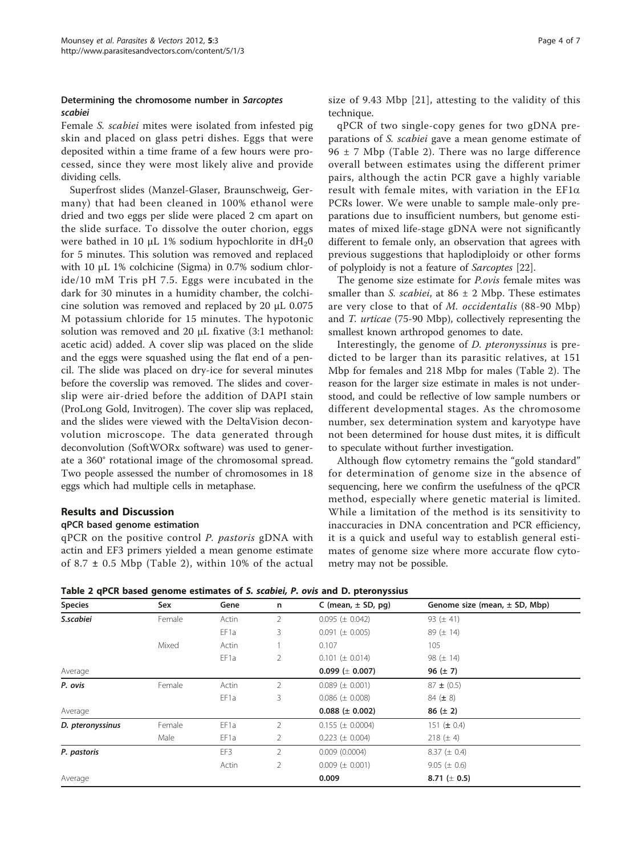# Determining the chromosome number in Sarcoptes scabiei

Female S. scabiei mites were isolated from infested pig skin and placed on glass petri dishes. Eggs that were deposited within a time frame of a few hours were processed, since they were most likely alive and provide dividing cells.

Superfrost slides (Manzel-Glaser, Braunschweig, Germany) that had been cleaned in 100% ethanol were dried and two eggs per slide were placed 2 cm apart on the slide surface. To dissolve the outer chorion, eggs were bathed in 10  $\mu$ L 1% sodium hypochlorite in dH<sub>2</sub>0 for 5 minutes. This solution was removed and replaced with 10 μL 1% colchicine (Sigma) in 0.7% sodium chloride/10 mM Tris pH 7.5. Eggs were incubated in the dark for 30 minutes in a humidity chamber, the colchicine solution was removed and replaced by 20 μL 0.075 M potassium chloride for 15 minutes. The hypotonic solution was removed and 20 μL fixative (3:1 methanol: acetic acid) added. A cover slip was placed on the slide and the eggs were squashed using the flat end of a pencil. The slide was placed on dry-ice for several minutes before the coverslip was removed. The slides and coverslip were air-dried before the addition of DAPI stain (ProLong Gold, Invitrogen). The cover slip was replaced, and the slides were viewed with the DeltaVision deconvolution microscope. The data generated through deconvolution (SoftWORx software) was used to generate a 360° rotational image of the chromosomal spread. Two people assessed the number of chromosomes in 18 eggs which had multiple cells in metaphase.

# Results and Discussion

# qPCR based genome estimation

qPCR on the positive control P. pastoris gDNA with actin and EF3 primers yielded a mean genome estimate of 8.7  $\pm$  0.5 Mbp (Table 2), within 10% of the actual size of 9.43 Mbp [[21\]](#page-5-0), attesting to the validity of this technique.

qPCR of two single-copy genes for two gDNA preparations of S. scabiei gave a mean genome estimate of  $96 \pm 7$  Mbp (Table 2). There was no large difference overall between estimates using the different primer pairs, although the actin PCR gave a highly variable result with female mites, with variation in the  $EFi\alpha$ PCRs lower. We were unable to sample male-only preparations due to insufficient numbers, but genome estimates of mixed life-stage gDNA were not significantly different to female only, an observation that agrees with previous suggestions that haplodiploidy or other forms of polyploidy is not a feature of Sarcoptes [\[22\]](#page-6-0).

The genome size estimate for P.ovis female mites was smaller than *S. scabiei*, at  $86 \pm 2$  Mbp. These estimates are very close to that of M. occidentalis (88-90 Mbp) and T. urticae (75-90 Mbp), collectively representing the smallest known arthropod genomes to date.

Interestingly, the genome of D. pteronyssinus is predicted to be larger than its parasitic relatives, at 151 Mbp for females and 218 Mbp for males (Table 2). The reason for the larger size estimate in males is not understood, and could be reflective of low sample numbers or different developmental stages. As the chromosome number, sex determination system and karyotype have not been determined for house dust mites, it is difficult to speculate without further investigation.

Although flow cytometry remains the "gold standard" for determination of genome size in the absence of sequencing, here we confirm the usefulness of the qPCR method, especially where genetic material is limited. While a limitation of the method is its sensitivity to inaccuracies in DNA concentration and PCR efficiency, it is a quick and useful way to establish general estimates of genome size where more accurate flow cytometry may not be possible.

Table 2 qPCR based genome estimates of S. scabiei, P. ovis and D. pteronyssius

| <b>Species</b>   | Sex    | Gene             | n              | C (mean, $\pm$ SD, pg) | Genome size (mean, $\pm$ SD, Mbp) |
|------------------|--------|------------------|----------------|------------------------|-----------------------------------|
| S.scabiei        | Female | Actin            | 2              | $0.095 (\pm 0.042)$    | 93 ( $\pm$ 41)                    |
|                  |        | EF1a             | 3              | $0.091 (\pm 0.005)$    | 89 ( $\pm$ 14)                    |
|                  | Mixed  | Actin            |                | 0.107                  | 105                               |
|                  |        | EF <sub>1a</sub> | 2              | $0.101 (\pm 0.014)$    | 98 ( $\pm$ 14)                    |
| Average          |        |                  |                | $0.099 \ (\pm 0.007)$  | 96 $(\pm 7)$                      |
| P. ovis          | Female | Actin            | $\overline{2}$ | $0.089 \ (\pm 0.001)$  | $87 \pm (0.5)$                    |
|                  |        | EF <sub>1a</sub> | 3              | $0.086 \ (\pm 0.008)$  | $84 (\pm 8)$                      |
| Average          |        |                  |                | $0.088 (\pm 0.002)$    | $86 (\pm 2)$                      |
| D. pteronyssinus | Female | EF1a             | 2              | $0.155 (\pm 0.0004)$   | 151 ( $\pm$ 0.4)                  |
|                  | Male   | EF <sub>1a</sub> | 2              | $0.223 (\pm 0.004)$    | 218 $(\pm 4)$                     |
| P. pastoris      |        | EF3              | $\overline{2}$ | 0.009(0.0004)          | $8.37 (\pm 0.4)$                  |
|                  |        | Actin            | $\overline{2}$ | $0.009 (\pm 0.001)$    | $9.05 (\pm 0.6)$                  |
| Average          |        |                  |                | 0.009                  | 8.71 ( $\pm$ 0.5)                 |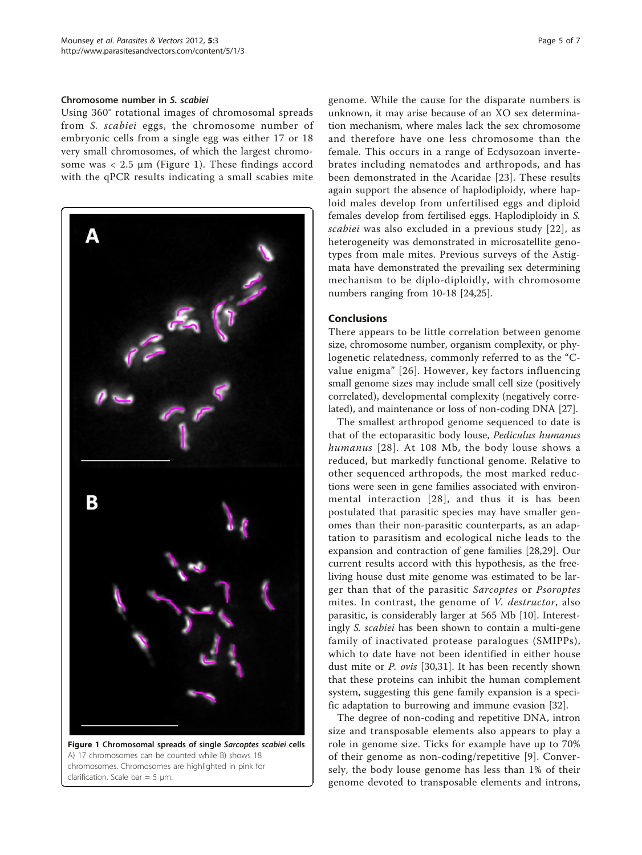#### Chromosome number in S. scabiei

Using 360° rotational images of chromosomal spreads from S. scabiei eggs, the chromosome number of embryonic cells from a single egg was either 17 or 18 very small chromosomes, of which the largest chromosome was  $< 2.5 \mu m$  (Figure 1). These findings accord with the qPCR results indicating a small scabies mite



Figure 1 Chromosomal spreads of single Sarcoptes scabiei cells. A) 17 chromosomes can be counted while B) shows 18 chromosomes. Chromosomes are highlighted in pink for clarification. Scale bar =  $5 \mu m$ .

genome. While the cause for the disparate numbers is unknown, it may arise because of an XO sex determination mechanism, where males lack the sex chromosome and therefore have one less chromosome than the female. This occurs in a range of Ecdysozoan invertebrates including nematodes and arthropods, and has been demonstrated in the Acaridae [[23\]](#page-6-0). These results again support the absence of haplodiploidy, where haploid males develop from unfertilised eggs and diploid females develop from fertilised eggs. Haplodiploidy in S. scabiei was also excluded in a previous study [\[22\]](#page-6-0), as heterogeneity was demonstrated in microsatellite genotypes from male mites. Previous surveys of the Astigmata have demonstrated the prevailing sex determining mechanism to be diplo-diploidly, with chromosome numbers ranging from 10-18 [\[24,25\]](#page-6-0).

#### **Conclusions**

There appears to be little correlation between genome size, chromosome number, organism complexity, or phylogenetic relatedness, commonly referred to as the "Cvalue enigma" [\[26](#page-6-0)]. However, key factors influencing small genome sizes may include small cell size (positively correlated), developmental complexity (negatively correlated), and maintenance or loss of non-coding DNA [\[27](#page-6-0)].

The smallest arthropod genome sequenced to date is that of the ectoparasitic body louse, Pediculus humanus humanus [[28](#page-6-0)]. At 108 Mb, the body louse shows a reduced, but markedly functional genome. Relative to other sequenced arthropods, the most marked reductions were seen in gene families associated with environmental interaction [[28](#page-6-0)], and thus it is has been postulated that parasitic species may have smaller genomes than their non-parasitic counterparts, as an adaptation to parasitism and ecological niche leads to the expansion and contraction of gene families [[28,29](#page-6-0)]. Our current results accord with this hypothesis, as the freeliving house dust mite genome was estimated to be larger than that of the parasitic Sarcoptes or Psoroptes mites. In contrast, the genome of V. destructor, also parasitic, is considerably larger at 565 Mb [\[10\]](#page-5-0). Interestingly S. scabiei has been shown to contain a multi-gene family of inactivated protease paralogues (SMIPPs), which to date have not been identified in either house dust mite or P. ovis [[30,31](#page-6-0)]. It has been recently shown that these proteins can inhibit the human complement system, suggesting this gene family expansion is a specific adaptation to burrowing and immune evasion [\[32](#page-6-0)].

The degree of non-coding and repetitive DNA, intron size and transposable elements also appears to play a role in genome size. Ticks for example have up to 70% of their genome as non-coding/repetitive [[9\]](#page-5-0). Conversely, the body louse genome has less than 1% of their genome devoted to transposable elements and introns,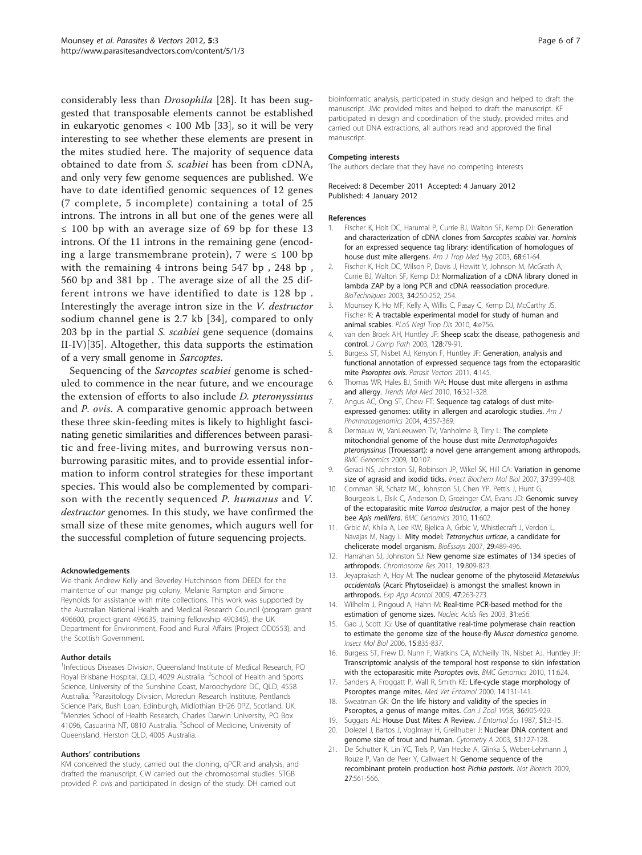<span id="page-5-0"></span>considerably less than Drosophila [[28](#page-6-0)]. It has been suggested that transposable elements cannot be established in eukaryotic genomes < 100 Mb [[33\]](#page-6-0), so it will be very interesting to see whether these elements are present in the mites studied here. The majority of sequence data obtained to date from S. scabiei has been from cDNA, and only very few genome sequences are published. We have to date identified genomic sequences of 12 genes (7 complete, 5 incomplete) containing a total of 25 introns. The introns in all but one of the genes were all ≤ 100 bp with an average size of 69 bp for these 13 introns. Of the 11 introns in the remaining gene (encoding a large transmembrane protein), 7 were  $\leq 100$  bp with the remaining 4 introns being 547 bp , 248 bp , 560 bp and 381 bp . The average size of all the 25 different introns we have identified to date is 128 bp . Interestingly the average intron size in the V. destructor sodium channel gene is 2.7 kb [[34](#page-6-0)], compared to only 203 bp in the partial S. scabiei gene sequence (domains II-IV)[[35\]](#page-6-0). Altogether, this data supports the estimation of a very small genome in Sarcoptes.

Sequencing of the Sarcoptes scabiei genome is scheduled to commence in the near future, and we encourage the extension of efforts to also include D. pteronyssinus and P. ovis. A comparative genomic approach between these three skin-feeding mites is likely to highlight fascinating genetic similarities and differences between parasitic and free-living mites, and burrowing versus nonburrowing parasitic mites, and to provide essential information to inform control strategies for these important species. This would also be complemented by comparison with the recently sequenced P. humanus and V. destructor genomes. In this study, we have confirmed the small size of these mite genomes, which augurs well for the successful completion of future sequencing projects.

#### Acknowledgements

We thank Andrew Kelly and Beverley Hutchinson from DEEDI for the maintence of our mange pig colony, Melanie Rampton and Simone Reynolds for assistance with mite collections. This work was supported by the Australian National Health and Medical Research Council (program grant 496600, project grant 496635, training fellowship 490345), the UK Department for Environment, Food and Rural Affairs (Project OD0553), and the Scottish Government.

#### Author details

<sup>1</sup>Infectious Diseases Division, Queensland Institute of Medical Research, PO Royal Brisbane Hospital, QLD, 4029 Australia. <sup>2</sup>School of Health and Sports Science, University of the Sunshine Coast, Maroochydore DC, QLD, 4558 Australia. <sup>3</sup>Parasitology Division, Moredun Research Institute, Pentlands Science Park, Bush Loan, Edinburgh, Midlothian EH26 0PZ, Scotland, UK. 4 Menzies School of Health Research, Charles Darwin University, PO Box 41096, Casuarina NT, 0810 Australia. <sup>5</sup>School of Medicine, University of Queensland, Herston QLD, 4005 Australia.

#### Authors' contributions

KM conceived the study, carried out the cloning, qPCR and analysis, and drafted the manuscript. CW carried out the chromosomal studies. STGB provided P. ovis and participated in design of the study. DH carried out

bioinformatic analysis, participated in study design and helped to draft the manuscript. JMc provided mites and helped to draft the manuscript. KF participated in design and coordination of the study, provided mites and carried out DNA extractions, all authors read and approved the final manuscript.

#### Competing interests

'The authors declare that they have no competing interests

#### Received: 8 December 2011 Accepted: 4 January 2012 Published: 4 January 2012

#### References

- 1. Fischer K, Holt DC, Harumal P, Currie BJ, Walton SF, Kemp DJ: [Generation](http://www.ncbi.nlm.nih.gov/pubmed/12749487?dopt=Abstract) [and characterization of cDNA clones from](http://www.ncbi.nlm.nih.gov/pubmed/12749487?dopt=Abstract) Sarcoptes scabiei var. hominis [for an expressed sequence tag library: identification of homologues of](http://www.ncbi.nlm.nih.gov/pubmed/12749487?dopt=Abstract) [house dust mite allergens.](http://www.ncbi.nlm.nih.gov/pubmed/12749487?dopt=Abstract) Am J Trop Med Hyg 2003, 68:61-64.
- 2. Fischer K, Holt DC, Wilson P, Davis J, Hewitt V, Johnson M, McGrath A, Currie BJ, Walton SF, Kemp DJ: [Normalization of a cDNA library cloned in](http://www.ncbi.nlm.nih.gov/pubmed/12613245?dopt=Abstract) [lambda ZAP by a long PCR and cDNA reassociation procedure.](http://www.ncbi.nlm.nih.gov/pubmed/12613245?dopt=Abstract) BioTechniques 2003, 34:250-252, 254.
- 3. Mounsey K, Ho MF, Kelly A, Willis C, Pasay C, Kemp DJ, McCarthy JS, Fischer K: [A tractable experimental model for study of human and](http://www.ncbi.nlm.nih.gov/pubmed/20668508?dopt=Abstract) [animal scabies.](http://www.ncbi.nlm.nih.gov/pubmed/20668508?dopt=Abstract) PLoS Negl Trop Dis 2010, 4:e756.
- 4. van den Broek AH, Huntley JF: [Sheep scab: the disease, pathogenesis and](http://www.ncbi.nlm.nih.gov/pubmed/12634083?dopt=Abstract) [control.](http://www.ncbi.nlm.nih.gov/pubmed/12634083?dopt=Abstract) *J Comp Path 2003*, 128:79-91.
- 5. Burgess ST, Nisbet AJ, Kenyon F, Huntley JF: [Generation, analysis and](http://www.ncbi.nlm.nih.gov/pubmed/21781297?dopt=Abstract) [functional annotation of expressed sequence tags from the ectoparasitic](http://www.ncbi.nlm.nih.gov/pubmed/21781297?dopt=Abstract) mite [Psoroptes ovis](http://www.ncbi.nlm.nih.gov/pubmed/21781297?dopt=Abstract). Parasit Vectors 2011, 4:145.
- 6. Thomas WR, Hales BJ, Smith WA: [House dust mite allergens in asthma](http://www.ncbi.nlm.nih.gov/pubmed/20605742?dopt=Abstract) [and allergy.](http://www.ncbi.nlm.nih.gov/pubmed/20605742?dopt=Abstract) Trends Mol Med 2010, 16:321-328.
- 7. Angus AC, Ong ST, Chew FT: [Sequence tag catalogs of dust mite](http://www.ncbi.nlm.nih.gov/pubmed/15651897?dopt=Abstract)[expressed genomes: utility in allergen and acarologic studies.](http://www.ncbi.nlm.nih.gov/pubmed/15651897?dopt=Abstract) Am J Pharmacogenomics 2004, 4:357-369.
- 8. Dermauw W, VanLeeuwen TV, Vanholme B, Tirry L: [The complete](http://www.ncbi.nlm.nih.gov/pubmed/19284646?dopt=Abstract) [mitochondrial genome of the house dust mite](http://www.ncbi.nlm.nih.gov/pubmed/19284646?dopt=Abstract) Dermatophagoides pteronyssinus [\(Trouessart\): a novel gene arrangement among arthropods.](http://www.ncbi.nlm.nih.gov/pubmed/19284646?dopt=Abstract) BMC Genomics 2009, 10:107.
- 9. Geraci NS, Johnston SJ, Robinson JP, Wikel SK, Hill CA: [Variation in genome](http://www.ncbi.nlm.nih.gov/pubmed/17456435?dopt=Abstract) [size of agrasid and ixodid ticks.](http://www.ncbi.nlm.nih.gov/pubmed/17456435?dopt=Abstract) Insect Biochem Mol Biol 2007, 37:399-408.
- 10. Cornman SR, Schatz MC, Johnston SJ, Chen YP, Pettis J, Hunt G, Bourgeois L, Elsik C, Anderson D, Grozinger CM, Evans JD: [Genomic survey](http://www.ncbi.nlm.nih.gov/pubmed/20973996?dopt=Abstract) of the ectoparasitic mite Varroa destructor[, a major pest of the honey](http://www.ncbi.nlm.nih.gov/pubmed/20973996?dopt=Abstract) bee [Apis mellifera](http://www.ncbi.nlm.nih.gov/pubmed/20973996?dopt=Abstract). BMC Genomics 2010, 11:602.
- 11. Grbic M, Khila A, Lee KW, Bjelica A, Grbic V, Whistlecraft J, Verdon L, Navajas M, Nagy L: Mity model: [Tetranychus urticae](http://www.ncbi.nlm.nih.gov/pubmed/17450600?dopt=Abstract), a candidate for [chelicerate model organism.](http://www.ncbi.nlm.nih.gov/pubmed/17450600?dopt=Abstract) BioEssays 2007, 29:489-496.
- 12. Hanrahan SJ, Johnston SJ: [New genome size estimates of 134 species of](http://www.ncbi.nlm.nih.gov/pubmed/21877225?dopt=Abstract) [arthropods.](http://www.ncbi.nlm.nih.gov/pubmed/21877225?dopt=Abstract) Chromosome Res 2011, 19:809-823.
- Jeyaprakash A, Hoy M: The nuclear genome of the phytoseiid Metaseiulus occidentalis (Acari: Phytoseiidae) is amongst the smallest known in arthropods. Exp App Acarcol 2009, 47:263-273.
- 14. Wilhelm J, Pingoud A, Hahn M: [Real-time PCR-based method for the](http://www.ncbi.nlm.nih.gov/pubmed/12736322?dopt=Abstract) [estimation of genome sizes.](http://www.ncbi.nlm.nih.gov/pubmed/12736322?dopt=Abstract) Nucleic Acids Res 2003, 31:e56.
- 15. Gao J, Scott JG: [Use of quantitative real-time polymerase chain reaction](http://www.ncbi.nlm.nih.gov/pubmed/17201775?dopt=Abstract) [to estimate the genome size of the house-fly](http://www.ncbi.nlm.nih.gov/pubmed/17201775?dopt=Abstract) Musca domestica genome. Insect Mol Biol 2006, 15:835-837.
- 16. Burgess ST, Frew D, Nunn F, Watkins CA, McNeilly TN, Nisbet AJ, Huntley JF: [Transcriptomic analysis of the temporal host response to skin infestation](http://www.ncbi.nlm.nih.gov/pubmed/21067579?dopt=Abstract) [with the ectoparasitic mite](http://www.ncbi.nlm.nih.gov/pubmed/21067579?dopt=Abstract) Psoroptes ovis. BMC Genomics 2010, 11:624.
- 17. Sanders A, Froggatt P, Wall R, Smith KE: [Life-cycle stage morphology of](http://www.ncbi.nlm.nih.gov/pubmed/10872857?dopt=Abstract) [Psoroptes mange mites.](http://www.ncbi.nlm.nih.gov/pubmed/10872857?dopt=Abstract) Med Vet Entomol 2000, 14:131-141.
- 18. Sweatman GK: On the life history and validity of the species in Psoroptes, a genus of mange mites. Can J Zool 1958, 36:905-929.
- 19. Suggars AL: House Dust Mites: A Review. J Entomol Sci 1987, S1:3-15.
- 20. Dolezel J, Bartos J, Voglmayr H, Greilhuber J: [Nuclear DNA content and](http://www.ncbi.nlm.nih.gov/pubmed/12541287?dopt=Abstract) [genome size of trout and human.](http://www.ncbi.nlm.nih.gov/pubmed/12541287?dopt=Abstract) Cytometry A 2003, 51:127-128.
- 21. De Schutter K, Lin YC, Tiels P, Van Hecke A, Glinka S, Weber-Lehmann J, Rouze P, Van de Peer Y, Callwaert N: Genome sequence of the recombinant protein production host Pichia pastoris. Nat Biotech 2009, 27:561-566.